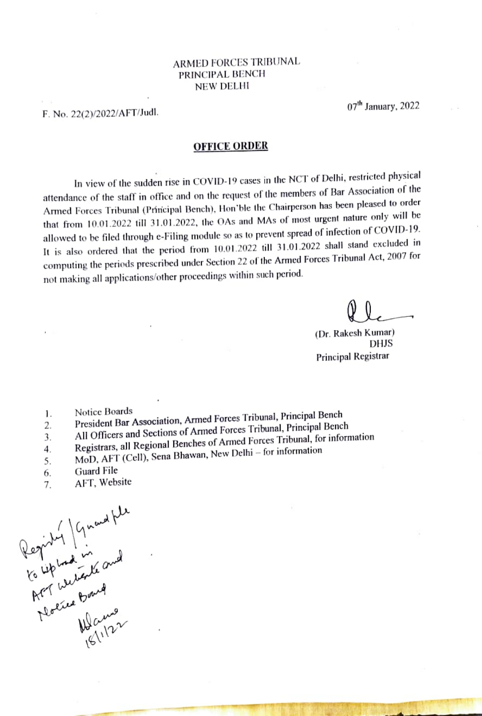## ARMED FORCES TRIBUNAL PRINCIPAL BENCH NEW DELHI

F. No. 22(2)/2022/AFT/Judl.

 $07<sup>th</sup>$  January, 2022

## OFFICE ORDER

In view of the sudden rise in COVID-19 cases in the NCT of Delhi, restricted physical attendance of the staff in office and on the request of the members of Bar Association of the Amed Forces Tribunal (Principal Bench), Hon'ble the Chairperson has bcen pleased to order that from  $10.01.2022$  till 31.01.2022, the OAs and MAs of most urgent nature only will be that from  $10.01.2022$  till 31.01.2022, the OAs and MAs of most urgent nature only will be allowed to be filed through e-Filing module so as to prevent spread of infection of COVID-19. It is also ordered that the period from 10.01.2022 till 31.01.2022 shall stand excluded in computing the periods prescribed under Section 22 of the Armed Forces Tribunal Act, 2007 for not making all applications/other proceedings within such period.

(Dr. Rakesh Kumar) DHJS Principal Registrar

- 1.
- Notice Boards President Bar Association, Armed Forces Tribunal, Principal Bench 2.
- All Officers and Sections of Armed Forces Tribunal, Principal Bench 3.
- Registrars, all Regional Benches of Armed Forces Tibunal, for information  $\overline{4}$ .
- MoD, AFT (Cell), Sena Bhawan, New Delhi for information 5.
- Guard File 6.
- . AFT, Website

egiby Grant rip withde a